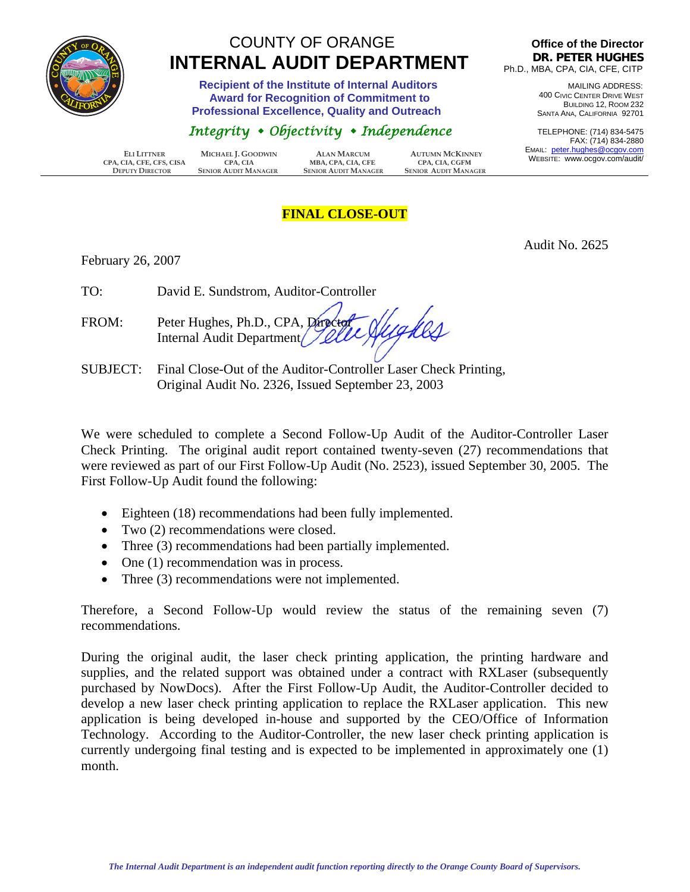

## COUNTY OF ORANGE  **INTERNAL AUDIT DEPARTMENT**

 **Recipient of the Institute of Internal Auditors Award for Recognition of Commitment to Professional Excellence, Quality and Outreach** 

## *Integrity Objectivity Independence*

 **ELI LITTNER MICHAEL J. GOODWIN ALAN MARCUM AUTUMN MCKINNEY CPA, CIA, CFE, CFS, CISA CPA, CIA**<br>**DEPUTY DIRECTOR SENIOR AUDIT MANAGER DEPUTY DIRECTOR SENIOR AUDIT MANAGER SENIOR AUDIT MANAGER SENIOR AUDIT MANAGER**

## **Office of the Director DR. PETER HUGHES** Ph.D., MBA, CPA, CIA, CFE, CITP

MAILING ADDRESS: 400 CIVIC CENTER DRIVE WEST BUILDING 12, ROOM 232 SANTA ANA, CALIFORNIA 92701

TELEPHONE: (714) 834-5475 FAX: (714) 834-2880 EMAIL: peter.hughes@ocgov.com WEBSITE: www.ocgov.com/audit/

## **FINAL CLOSE-OUT**

February 26, 2007

Audit No. 2625

TO: David E. Sundstrom, Auditor-Controller

lighes FROM: Peter Hughes, Ph.D., CPA, Director Internal Audit Department

SUBJECT: Final Close-Out of the Auditor-Controller Laser Check Printing, Original Audit No. 2326, Issued September 23, 2003

We were scheduled to complete a Second Follow-Up Audit of the Auditor-Controller Laser Check Printing. The original audit report contained twenty-seven (27) recommendations that were reviewed as part of our First Follow-Up Audit (No. 2523), issued September 30, 2005. The First Follow-Up Audit found the following:

- Eighteen (18) recommendations had been fully implemented.
- Two (2) recommendations were closed.
- Three (3) recommendations had been partially implemented.
- One (1) recommendation was in process.
- Three (3) recommendations were not implemented.

Therefore, a Second Follow-Up would review the status of the remaining seven (7) recommendations.

During the original audit, the laser check printing application, the printing hardware and supplies, and the related support was obtained under a contract with RXLaser (subsequently purchased by NowDocs). After the First Follow-Up Audit, the Auditor-Controller decided to develop a new laser check printing application to replace the RXLaser application. This new application is being developed in-house and supported by the CEO/Office of Information Technology. According to the Auditor-Controller, the new laser check printing application is currently undergoing final testing and is expected to be implemented in approximately one (1) month.